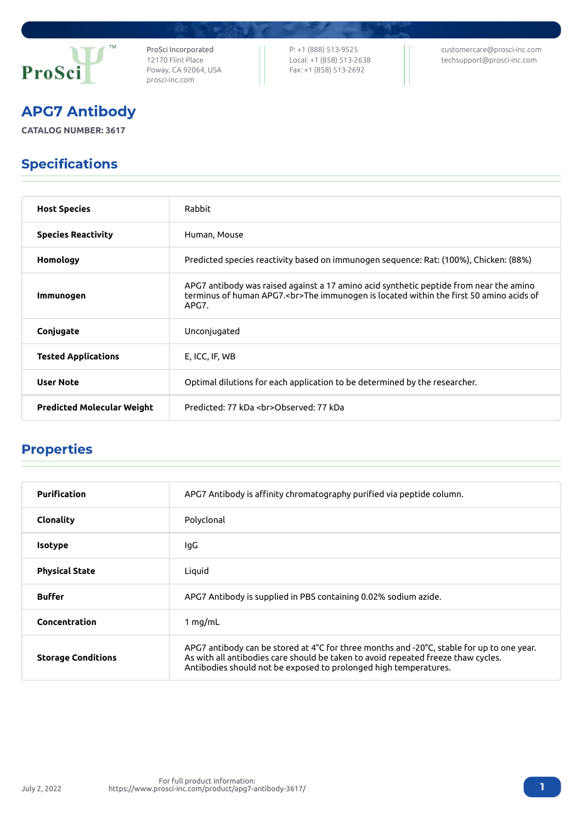

ProSci Incorporated 12170 Flint Place Poway, CA 92064, USA [prosci-inc.com](https://prosci-inc.com/)

P: +1 (888) 513-9525 Local: +1 (858) 513-2638 Fax: +1 (858) 513-2692

[customercare@prosci-inc.com](mailto:customercare@prosci-inc.com) [techsupport@prosci-inc.com](mailto:techsupport@prosci-inc.com)

# APG7 Antibody

**CATALOG NUMBER: 3617**

## Specifications

| <b>Host Species</b>               | Rabbit                                                                                                                                                                                    |
|-----------------------------------|-------------------------------------------------------------------------------------------------------------------------------------------------------------------------------------------|
| <b>Species Reactivity</b>         | Human, Mouse                                                                                                                                                                              |
| Homology                          | Predicted species reactivity based on immunogen sequence: Rat: (100%), Chicken: (88%)                                                                                                     |
| Immunogen                         | APG7 antibody was raised against a 17 amino acid synthetic peptide from near the amino<br>terminus of human APG7.<br>The immunogen is located within the first 50 amino acids of<br>APG7. |
| Conjugate                         | Unconjugated                                                                                                                                                                              |
| <b>Tested Applications</b>        | E, ICC, IF, WB                                                                                                                                                                            |
| <b>User Note</b>                  | Optimal dilutions for each application to be determined by the researcher.                                                                                                                |
| <b>Predicted Molecular Weight</b> | Predicted: 77 kDa<br>Observed: 77 kDa                                                                                                                                                     |

### Properties

| <b>Purification</b>       | APG7 Antibody is affinity chromatography purified via peptide column.                                                                                                                                                                                                  |
|---------------------------|------------------------------------------------------------------------------------------------------------------------------------------------------------------------------------------------------------------------------------------------------------------------|
| Clonality                 | Polyclonal                                                                                                                                                                                                                                                             |
| <b>Isotype</b>            | lgG                                                                                                                                                                                                                                                                    |
| <b>Physical State</b>     | Liquid                                                                                                                                                                                                                                                                 |
| <b>Buffer</b>             | APG7 Antibody is supplied in PBS containing 0.02% sodium azide.                                                                                                                                                                                                        |
| Concentration             | 1 $mq/mL$                                                                                                                                                                                                                                                              |
| <b>Storage Conditions</b> | APG7 antibody can be stored at 4 $\degree$ C for three months and -20 $\degree$ C, stable for up to one year.<br>As with all antibodies care should be taken to avoid repeated freeze thaw cycles.<br>Antibodies should not be exposed to prolonged high temperatures. |